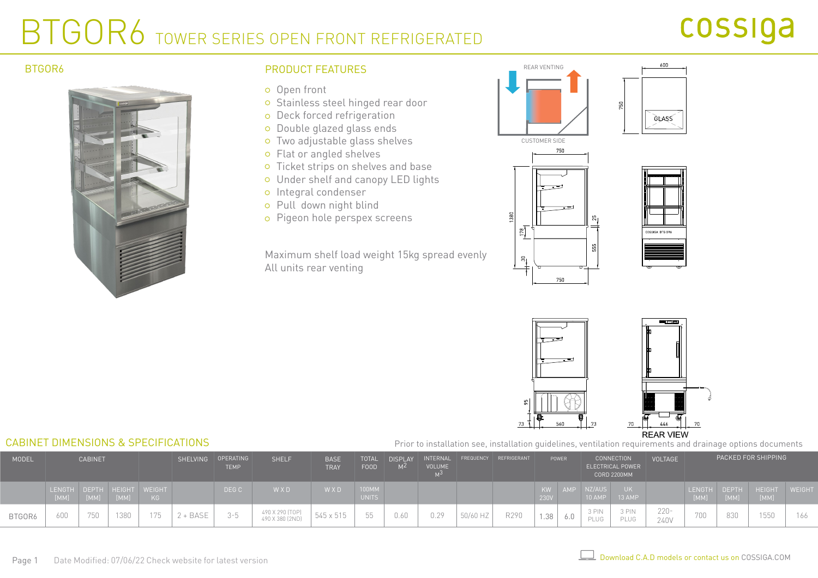### BTGOR6 TOWER SERIES OPEN FRONT REFRIGERATED

## cossiga

#### BTGOR6



### PRODUCT FFATURES **EXAMPLE A PRODUCT** FEATURES

- o Open front
- o Stainless steel hinged rear door
- o Deck forced refrigeration
- o Double glazed glass ends
- Two adjustable glass shelves
- Flat or angled shelves
- o Ticket strips on shelves and base
- Under shelf and canopy LED lights
- o Integral condenser
- Pull down night blind
- Pigeon hole perspex screens

Maximum shelf load weight 15kg spread evenly All units rear venting







600



Prior to installation see, installation guidelines, ventilation requirements and drainage options documents

| MODEL  | <b>CABINET</b>        |      |             |                             |        | SHELVING OPERATING<br><b>TEMP</b> | <b>SHELF</b>                       | <b>BASE</b><br><b>TRAY</b> | <b>TOTAL</b><br><b>FOOD</b> | <b>DISPLAY</b><br>M <sup>2</sup> | INTERNAL<br><b>VOLUME</b> |          | FREQUENCY REFRIGERANT | POWER      |            |                    | <b>CONNECTION</b><br>ELECTRICAL POWER<br><b>CORD 2200MM</b> | <b>VOLTAGE</b>  | PACKED FOR SHIPPING          |                      |                       |              |
|--------|-----------------------|------|-------------|-----------------------------|--------|-----------------------------------|------------------------------------|----------------------------|-----------------------------|----------------------------------|---------------------------|----------|-----------------------|------------|------------|--------------------|-------------------------------------------------------------|-----------------|------------------------------|----------------------|-----------------------|--------------|
|        | <b>LENGTH</b><br>[MM] | [MM] | <b>IMMI</b> | DEPTH HEIGHT WEIGHT<br>KG . |        | DEG C                             | W X D                              | W X D                      | 100MM<br><b>UNITS</b>       |                                  |                           |          |                       | KW<br>230V | <b>AMP</b> | NZ/AUS<br>$10$ AMP | UK.<br>$13$ AMP                                             |                 | <b>LENGTH</b><br><b>IMMI</b> | <b>DEPTH</b><br>[MM] | <b>HEIGHT</b><br>[MM] | <b>WEIGH</b> |
| BTGOR6 | 600                   | 750  | 1380        | 75<br>17 U                  | + BASE | 3-5                               | 490 X 290 [TOP]<br>490 X 380 (2ND) | 545 x 515                  | 55                          | 0.60                             | 0.29                      | 50/60 HZ | R290                  | 1.38       | b.U        | 3 PIN<br>PLUG      | 3 PIN<br>PLUG                                               | $220 -$<br>240V | 7 U U                        | 830                  | $- - - -$<br>1550     | 166          |

#### CABINET DIMENSIONS & SPECIFICATIONS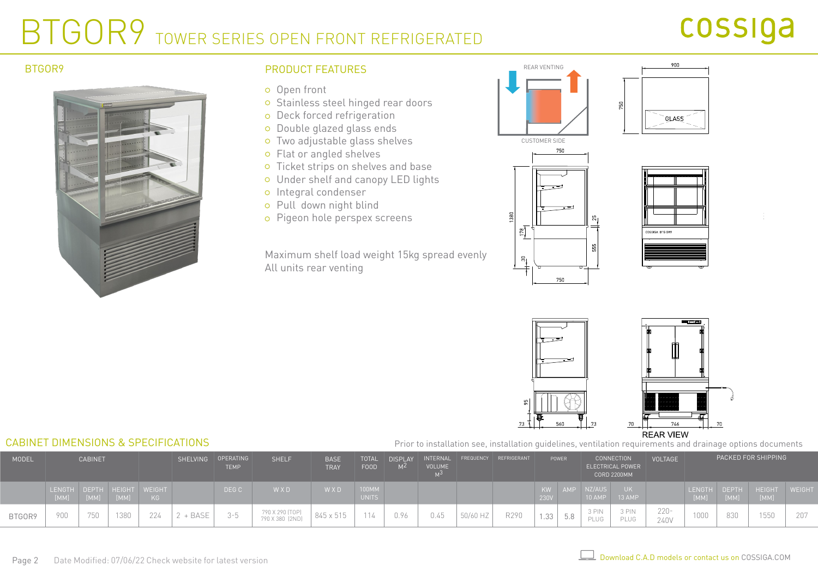### BTGOR9 TOWER SERIES OPEN FRONT REFRIGERATED

## cossiga



#### BTGOR9 **ELACTER BTGORS** PRODUCT FEATURES **FRODUCT EXAMPLE AND A REAR VENTING**

- o Open front
- o Stainless steel hinged rear doors
- o Deck forced refrigeration
- o Double glazed glass ends
- Two adjustable glass shelves
- Flat or angled shelves
- o Ticket strips on shelves and base
- Under shelf and canopy LED lights
- o Integral condenser
- Pull down night blind
- Pigeon hole perspex screens

Maximum shelf load weight 15kg spread evenly All units rear venting







900



#### CABINET DIMENSIONS & SPECIFICATIONS Prior to installation see, installation guidelines, ventilation requirements and drainage options documents

| <b>MODEL</b> |               | <b>CABINET</b> |                      |                       |      | SHELVING OPERATING<br><b>TEMP</b> | <b>SHELF</b>                       | <b>BASE</b><br><b>TRAY</b> | <b>TOTAL</b><br>FOOD  | <b>DISPLAY</b><br>M <sup>Z</sup> | <b>VOLUME</b> |          | INTERNAL FREQUENCY REFRIGERANT | POWER      |     | <b>CONNECTION</b><br>ELECTRICAL POWER<br><b>CORD 2200MM</b> |                      | <b>VOLTAGE</b>  | PACKED FOR SHIPPING |                      |                       |             |
|--------------|---------------|----------------|----------------------|-----------------------|------|-----------------------------------|------------------------------------|----------------------------|-----------------------|----------------------------------|---------------|----------|--------------------------------|------------|-----|-------------------------------------------------------------|----------------------|-----------------|---------------------|----------------------|-----------------------|-------------|
|              | <b>LENGTH</b> | [MM]           | DEPTH HEIGHT<br>[MM] | <b>WEIGHT</b><br>KG . |      | DEG C                             | W X D                              | W X D                      | 100MM<br><b>UNITS</b> |                                  |               |          |                                | KW<br>230V | AMP | NZ/AUS<br>10 AMP                                            | 13 AMP               |                 | LENGTH<br>[MM]      | <b>DEPTH</b><br>[MM] | <b>HEIGHT</b><br>[MM] | <b>WEIG</b> |
| BTGOR9       | 900           | 750            | 1380                 | 224                   | BASE | ミート                               | 790 X 290 (TOP)<br>790 X 380 (2ND) | 845 x 515                  | 114                   | 0.96                             | 0.45          | 50/60 HZ | R290                           | 1.33       | 5.8 | 3 PIN<br>PLUG                                               | 3 PIN<br><b>PLUG</b> | $220 -$<br>240V | 1000                | 830                  | 1550                  | 207         |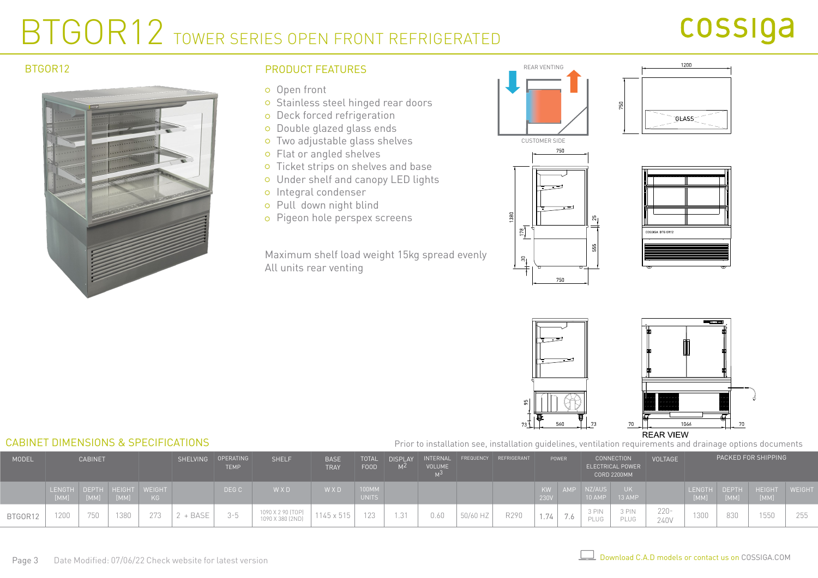### BTGOR12 TOWER SERIES OPEN FRONT REFRIGERATED

## cossiga

#### BTGOR12



### PRODUCT FEATURES THE CONTROL OF REAR VENTING

- o Open front
- o Stainless steel hinged rear doors
- o Deck forced refrigeration
- o Double glazed glass ends
- Two adjustable glass shelves
- Flat or angled shelves
- o Ticket strips on shelves and base
- Under shelf and canopy LED lights
- o Integral condenser
- Pull down night blind
- Pigeon hole perspex screens

Maximum shelf load weight 15kg spread evenly All units rear venting



 $\frac{178}{2}$ 

 $\mathbb{S}_{\mathbb{I}}$ 

750

750









#### **REAR VIEW**

Prior to installation see, installation guidelines, ventilation requirements and drainage options documents

| MODEL   | <b>CABINET</b>        |      |      |                           | SHELVING OPERATING | <b>TEMP</b>    | <b>SHELF</b>                          | <b>BASE</b><br><b>TRAY</b> | <b>TOTAL</b><br>FOOD  | <b>DISPLAY</b><br>M <sup>Z</sup> | INTERNAL<br><b>VOLUME</b> |          | FREQUENCY REFRIGERANT<br>POWER |            | <b>CONNECTION</b><br>ELECTRICAL POWER<br><b>CORD 2200MM</b> |                    | <b>VOLTAGE</b> | PACKED FOR SHIPPING |                       |                      |                 |              |
|---------|-----------------------|------|------|---------------------------|--------------------|----------------|---------------------------------------|----------------------------|-----------------------|----------------------------------|---------------------------|----------|--------------------------------|------------|-------------------------------------------------------------|--------------------|----------------|---------------------|-----------------------|----------------------|-----------------|--------------|
|         | <b>LENGTH</b><br>[MM] | [MM] |      | DEPTH HEIGHT WEIGHT<br>KG |                    | DEG C          | WXD                                   | W X D                      | 100MM<br><b>UNITS</b> |                                  |                           |          |                                | KW<br>230V | <b>AMP</b>                                                  | NZ/AUS<br>$10$ AMP | UK I<br>13 AMP |                     | <b>LENGTH</b><br>[MM] | <b>DEPTH</b><br>[MM] | HEIGHT<br>[MM]  | <b>WEIGH</b> |
| BTGOR12 | 1200                  | 750  | 1380 | 273                       | $2 + BASE$         | $2 - h$<br>U U | 1090 X 2 90 (TOP)<br>1090 X 380 (2ND) | 1145 x 515                 |                       |                                  | 0.60                      | 50/60 HZ | R290                           | 1.74       | $\mathbf{r}$<br>1.6                                         | 3 PIN<br>PLUG      | 3 PIN<br>PLUG  | $220 -$<br>240V     | 1300                  | 830                  | $1 - 1$<br>155U | 255          |

#### CABINET DIMENSIONS & SPECIFICATIONS